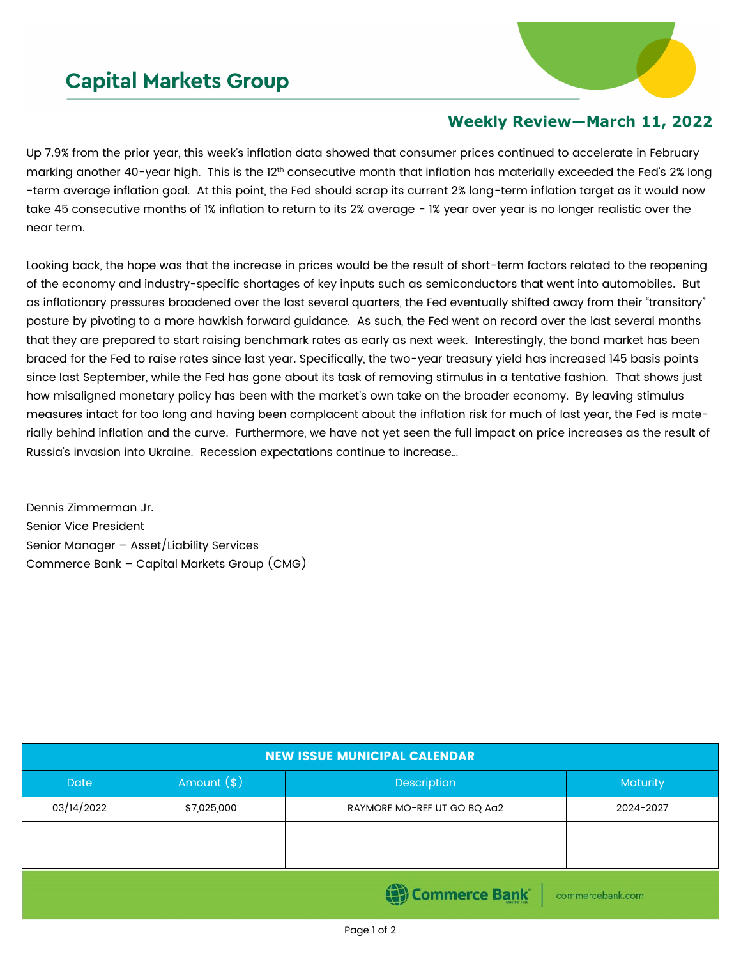## **Capital Markets Group**



## **Weekly Review—March 11, 2022**

Up 7.9% from the prior year, this week's inflation data showed that consumer prices continued to accelerate in February marking another 40-year high. This is the 12<sup>th</sup> consecutive month that inflation has materially exceeded the Fed's 2% long -term average inflation goal. At this point, the Fed should scrap its current 2% long-term inflation target as it would now take 45 consecutive months of 1% inflation to return to its 2% average - 1% year over year is no longer realistic over the near term.

Looking back, the hope was that the increase in prices would be the result of short-term factors related to the reopening of the economy and industry-specific shortages of key inputs such as semiconductors that went into automobiles. But as inflationary pressures broadened over the last several quarters, the Fed eventually shifted away from their "transitory" posture by pivoting to a more hawkish forward guidance. As such, the Fed went on record over the last several months that they are prepared to start raising benchmark rates as early as next week. Interestingly, the bond market has been braced for the Fed to raise rates since last year. Specifically, the two-year treasury yield has increased 145 basis points since last September, while the Fed has gone about its task of removing stimulus in a tentative fashion. That shows just how misaligned monetary policy has been with the market's own take on the broader economy. By leaving stimulus measures intact for too long and having been complacent about the inflation risk for much of last year, the Fed is materially behind inflation and the curve. Furthermore, we have not yet seen the full impact on price increases as the result of Russia's invasion into Ukraine. Recession expectations continue to increase…

Dennis Zimmerman Jr. Senior Vice President Senior Manager – Asset/Liability Services Commerce Bank – Capital Markets Group (CMG)

| <b>NEW ISSUE MUNICIPAL CALENDAR</b> |              |                             |                 |  |  |  |
|-------------------------------------|--------------|-----------------------------|-----------------|--|--|--|
| <b>Date</b>                         | Amount $(*)$ | Description                 | <b>Maturity</b> |  |  |  |
| 03/14/2022                          | \$7,025,000  | RAYMORE MO-REF UT GO BQ Aa2 | 2024-2027       |  |  |  |
|                                     |              |                             |                 |  |  |  |
|                                     |              |                             |                 |  |  |  |
| Commerce Bank<br>commercebank.com   |              |                             |                 |  |  |  |